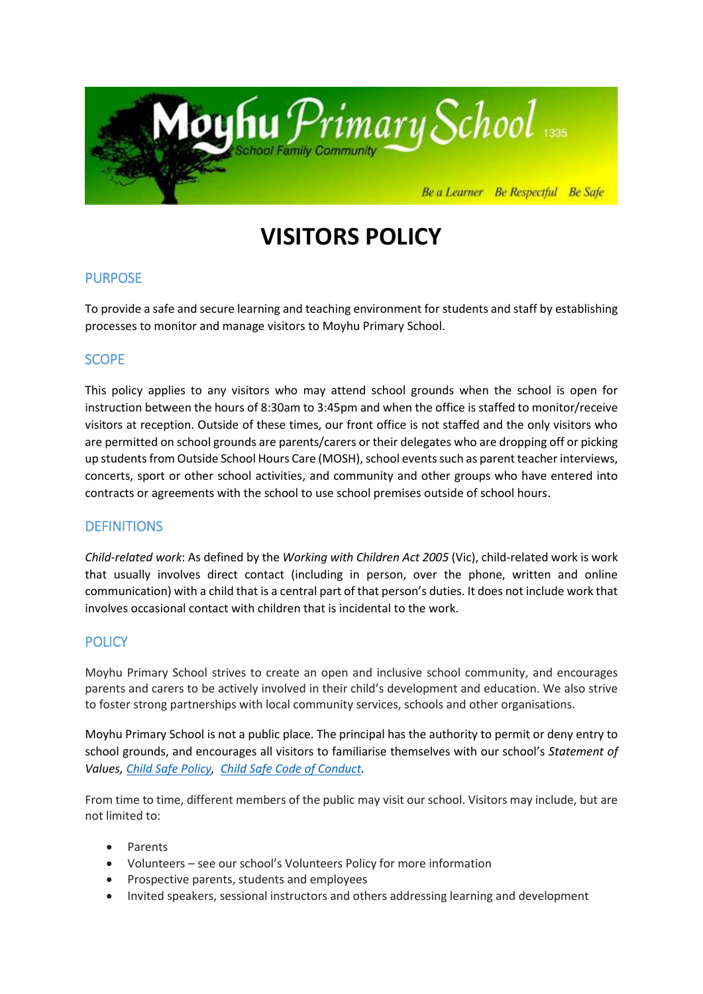

# **VISITORS POLICY**

# PURPOSE

To provide a safe and secure learning and teaching environment for students and staff by establishing processes to monitor and manage visitors to Moyhu Primary School.

# **SCOPE**

This policy applies to any visitors who may attend school grounds when the school is open for instruction between the hours of 8:30am to 3:45pm and when the office is staffed to monitor/receive visitors at reception. Outside of these times, our front office is not staffed and the only visitors who are permitted on school grounds are parents/carers or their delegates who are dropping off or picking up students from Outside School Hours Care (MOSH), school events such as parent teacher interviews, concerts, sport or other school activities, and community and other groups who have entered into contracts or agreements with the school to use school premises outside of school hours.

# **DEFINITIONS**

*Child-related work*: As defined by the *Working with Children Act 2005* (Vic), child-related work is work that usually involves direct contact (including in person, over the phone, written and online communication) with a child that is a central part of that person's duties. It does not include work that involves occasional contact with children that is incidental to the work.

# **POLICY**

Moyhu Primary School strives to create an open and inclusive school community, and encourages parents and carers to be actively involved in their child's development and education. We also strive to foster strong partnerships with local community services, schools and other organisations.

Moyhu Primary School is not a public place. The principal has the authority to permit or deny entry to school grounds, and encourages all visitors to familiarise themselves with our school's *Statement of Values, [Child Safe Policy,](http://secureservercdn.net/198.71.233.44/6mp.adb.myftpupload.com/wp-content/uploads/2019/11/Child-Safety-Policy-Nov-2019.pdf) [Child Safe Code of Conduct.](http://secureservercdn.net/198.71.233.44/6mp.adb.myftpupload.com/wp-content/uploads/2019/11/Child-Safety-Code-of-Conduct.pdf)* 

From time to time, different members of the public may visit our school. Visitors may include, but are not limited to:

- Parents
- Volunteers see our school's Volunteers Policy for more information
- Prospective parents, students and employees
- Invited speakers, sessional instructors and others addressing learning and development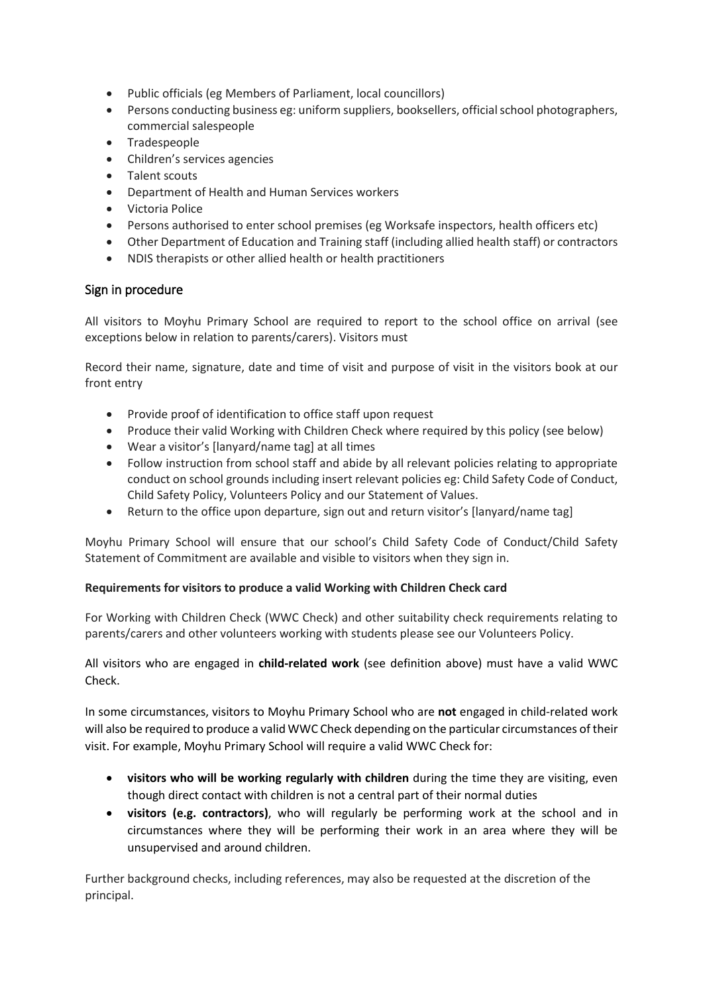- Public officials (eg Members of Parliament, local councillors)
- Persons conducting business eg: uniform suppliers, booksellers, official school photographers, commercial salespeople
- Tradespeople
- Children's services agencies
- Talent scouts
- Department of Health and Human Services workers
- Victoria Police
- Persons authorised to enter school premises (eg Worksafe inspectors, health officers etc)
- Other Department of Education and Training staff (including allied health staff) or contractors
- NDIS therapists or other allied health or health practitioners

## Sign in procedure

All visitors to Moyhu Primary School are required to report to the school office on arrival (see exceptions below in relation to parents/carers). Visitors must

Record their name, signature, date and time of visit and purpose of visit in the visitors book at our front entry

- Provide proof of identification to office staff upon request
- Produce their valid Working with Children Check where required by this policy (see below)
- Wear a visitor's [lanyard/name tag] at all times
- Follow instruction from school staff and abide by all relevant policies relating to appropriate conduct on school grounds including insert relevant policies eg: Child Safety Code of Conduct, Child Safety Policy, Volunteers Policy and our Statement of Values.
- Return to the office upon departure, sign out and return visitor's [lanyard/name tag]

Moyhu Primary School will ensure that our school's Child Safety Code of Conduct/Child Safety Statement of Commitment are available and visible to visitors when they sign in.

## **Requirements for visitors to produce a valid Working with Children Check card**

For Working with Children Check (WWC Check) and other suitability check requirements relating to parents/carers and other volunteers working with students please see our Volunteers Policy.

## All visitors who are engaged in **child-related work** (see definition above) must have a valid WWC Check.

In some circumstances, visitors to Moyhu Primary School who are **not** engaged in child-related work will also be required to produce a valid WWC Check depending on the particular circumstances of their visit. For example, Moyhu Primary School will require a valid WWC Check for:

- **visitors who will be working regularly with children** during the time they are visiting, even though direct contact with children is not a central part of their normal duties
- **visitors (e.g. contractors)**, who will regularly be performing work at the school and in circumstances where they will be performing their work in an area where they will be unsupervised and around children.

Further background checks, including references, may also be requested at the discretion of the principal.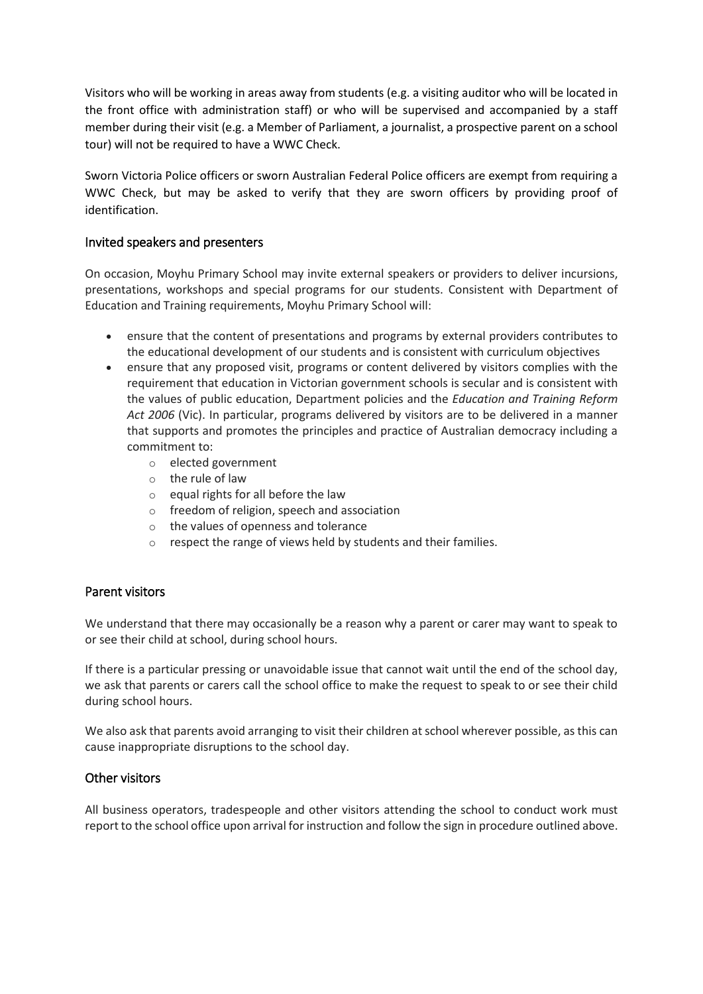Visitors who will be working in areas away from students (e.g. a visiting auditor who will be located in the front office with administration staff) or who will be supervised and accompanied by a staff member during their visit (e.g. a Member of Parliament, a journalist, a prospective parent on a school tour) will not be required to have a WWC Check.

Sworn Victoria Police officers or sworn Australian Federal Police officers are exempt from requiring a WWC Check, but may be asked to verify that they are sworn officers by providing proof of identification.

## Invited speakers and presenters

On occasion, Moyhu Primary School may invite external speakers or providers to deliver incursions, presentations, workshops and special programs for our students. Consistent with Department of Education and Training requirements, Moyhu Primary School will:

- ensure that the content of presentations and programs by external providers contributes to the educational development of our students and is consistent with curriculum objectives
- ensure that any proposed visit, programs or content delivered by visitors complies with the requirement that education in Victorian government schools is secular and is consistent with the values of public education, Department policies and the *Education and Training Reform Act 2006* (Vic). In particular, programs delivered by visitors are to be delivered in a manner that supports and promotes the principles and practice of Australian democracy including a commitment to:
	- o elected government
	- o the rule of law
	- $\circ$  equal rights for all before the law
	- o freedom of religion, speech and association
	- o the values of openness and tolerance
	- o respect the range of views held by students and their families.

## Parent visitors

We understand that there may occasionally be a reason why a parent or carer may want to speak to or see their child at school, during school hours.

If there is a particular pressing or unavoidable issue that cannot wait until the end of the school day, we ask that parents or carers call the school office to make the request to speak to or see their child during school hours.

We also ask that parents avoid arranging to visit their children at school wherever possible, as this can cause inappropriate disruptions to the school day.

## Other visitors

All business operators, tradespeople and other visitors attending the school to conduct work must report to the school office upon arrival for instruction and follow the sign in procedure outlined above.